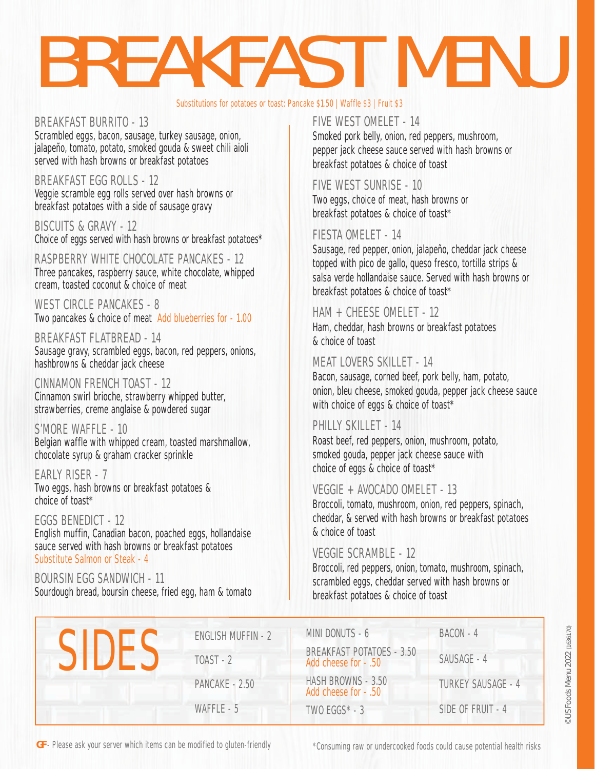# BREAKFAST MENU

#### Substitutions for potatoes or toast: Pancake \$1.50 | Waffle \$3 | Fruit \$3

#### BREAKFAST BURRITO - 13 Scrambled eggs, bacon, sausage, turkey sausage, onion, jalapeño, tomato, potato, smoked gouda & sweet chili aioli served with hash browns or breakfast potatoes

BREAKFAST EGG ROLLS - 12

Veggie scramble egg rolls served over hash browns or breakfast potatoes with a side of sausage gravy

BISCUITS & GRAVY - 12 Choice of eggs served with hash browns or breakfast potatoes\*

RASPBERRY WHITE CHOCOLATE PANCAKES - 12 Three pancakes, raspberry sauce, white chocolate, whipped cream, toasted coconut & choice of meat

WEST CIRCLE PANCAKES - 8 Two pancakes & choice of meat Add blueberries for - 1.00

BREAKFAST FLATBREAD - 14 Sausage gravy, scrambled eggs, bacon, red peppers, onions, hashbrowns & cheddar jack cheese

CINNAMON FRENCH TOAST - 12 Cinnamon swirl brioche, strawberry whipped butter, strawberries, creme anglaise & powdered sugar

#### S'MORE WAFFLE - 10

Belgian waffle with whipped cream, toasted marshmallow, chocolate syrup & graham cracker sprinkle

EARLY RISER - 7 Two eggs, hash browns or breakfast potatoes & choice of toast\*

EGGS BENEDICT - 12 English muffin, Canadian bacon, poached eggs, hollandaise sauce served with hash browns or breakfast potatoes Substitute Salmon or Steak - 4

BOURSIN EGG SANDWICH - 11 Sourdough bread, boursin cheese, fried egg, ham & tomato

#### FIVE WEST OMELET - 14

Smoked pork belly, onion, red peppers, mushroom, pepper jack cheese sauce served with hash browns or breakfast potatoes & choice of toast

#### FIVE WEST SUNRISE - 10

Two eggs, choice of meat, hash browns or breakfast potatoes & choice of toast\*

#### FIESTA OMELET - 14

Sausage, red pepper, onion, jalapeño, cheddar jack cheese topped with pico de gallo, queso fresco, tortilla strips & salsa verde hollandaise sauce. Served with hash browns or breakfast potatoes & choice of toast\*

#### HAM + CHEESE OMELET - 12

Ham, cheddar, hash browns or breakfast potatoes & choice of toast

#### MEAT LOVERS SKILLET - 14

Bacon, sausage, corned beef, pork belly, ham, potato, onion, bleu cheese, smoked gouda, pepper jack cheese sauce with choice of eggs & choice of toast\*

#### PHILLY SKILLET - 14

Roast beef, red peppers, onion, mushroom, potato, smoked gouda, pepper jack cheese sauce with choice of eggs & choice of toast\*

#### VEGGIE + AVOCADO OMELET - 13

Broccoli, tomato, mushroom, onion, red peppers, spinach, cheddar, & served with hash browns or breakfast potatoes & choice of toast

#### VEGGIE SCRAMBLE - 12

Broccoli, red peppers, onion, tomato, mushroom, spinach, scrambled eggs, cheddar served with hash browns or breakfast potatoes & choice of toast

| CIID | <b>ENGLISH MUFFIN - 2</b> | MINI DONUTS - 6                                          | BACON - 4                 |
|------|---------------------------|----------------------------------------------------------|---------------------------|
|      | $TOAST - 2$               | <b>BREAKFAST POTATOES - 3.50</b><br>Add cheese for - .50 | SAUSAGE - 4               |
|      | PANCAKE - 2.50            | HASH BROWNS - 3.50<br>Add cheese for - .50               | <b>TURKEY SAUSAGE - 4</b> |
|      | WAFFLE - 5                | $TWO EGGS^* - 3$                                         | SIDE OF FRUIT - 4         |

**GF** - Please ask your server which items can be modified to gluten-friendly

\*Consuming raw or undercooked foods could cause potential health risks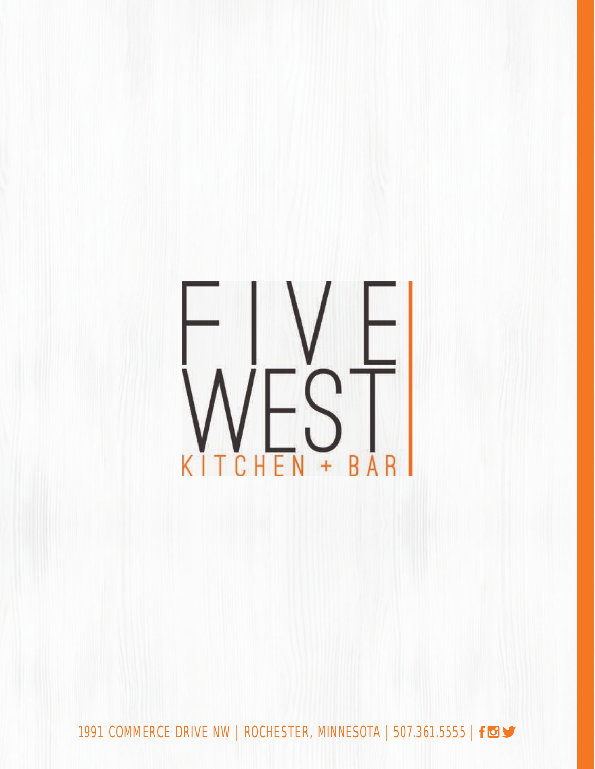

1991 COMMERCE DRIVE NW | ROCHESTER, MINNESOTA | 507.361.5555 | form